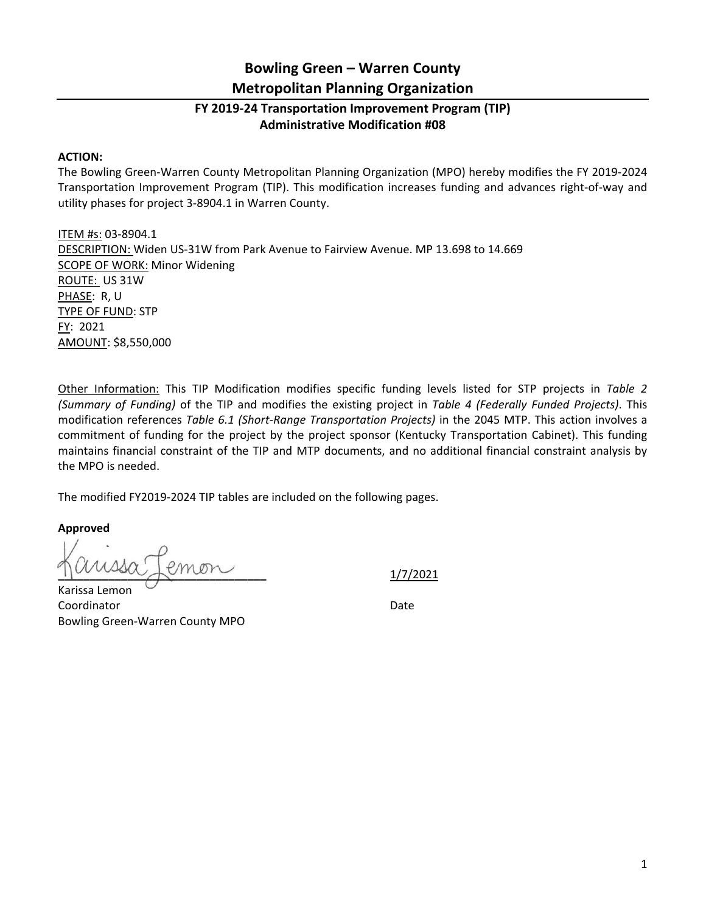## **Bowling Green – Warren County Metropolitan Planning Organization**

## **FY 2019‐24 Transportation Improvement Program (TIP) Administrative Modification #08**

## **ACTION:**

The Bowling Green‐Warren County Metropolitan Planning Organization (MPO) hereby modifies the FY 2019‐2024 Transportation Improvement Program (TIP). This modification increases funding and advances right‐of‐way and utility phases for project 3‐8904.1 in Warren County.

ITEM #s: 03‐8904.1 DESCRIPTION: Widen US‐31W from Park Avenue to Fairview Avenue. MP 13.698 to 14.669 SCOPE OF WORK: Minor Widening ROUTE: US 31W PHASE: R, U TYPE OF FUND: STP FY: 2021 AMOUNT: \$8,550,000

Other Information: This TIP Modification modifies specific funding levels listed for STP projects in *Table 2 (Summary of Funding)* of the TIP and modifies the existing project in *Table 4 (Federally Funded Projects)*. This modification references *Table 6.1 (Short‐Range Transportation Projects)* in the 2045 MTP. This action involves a commitment of funding for the project by the project sponsor (Kentucky Transportation Cabinet). This funding maintains financial constraint of the TIP and MTP documents, and no additional financial constraint analysis by the MPO is needed.

The modified FY2019‐2024 TIP tables are included on the following pages.

**Approved** 

**\_\_\_\_\_\_\_\_\_\_\_\_\_\_\_\_\_\_\_\_\_\_\_\_\_\_\_\_\_\_\_\_\_**  1/7/2021

Karissa Lemon Coordinator **Date** Bowling Green‐Warren County MPO